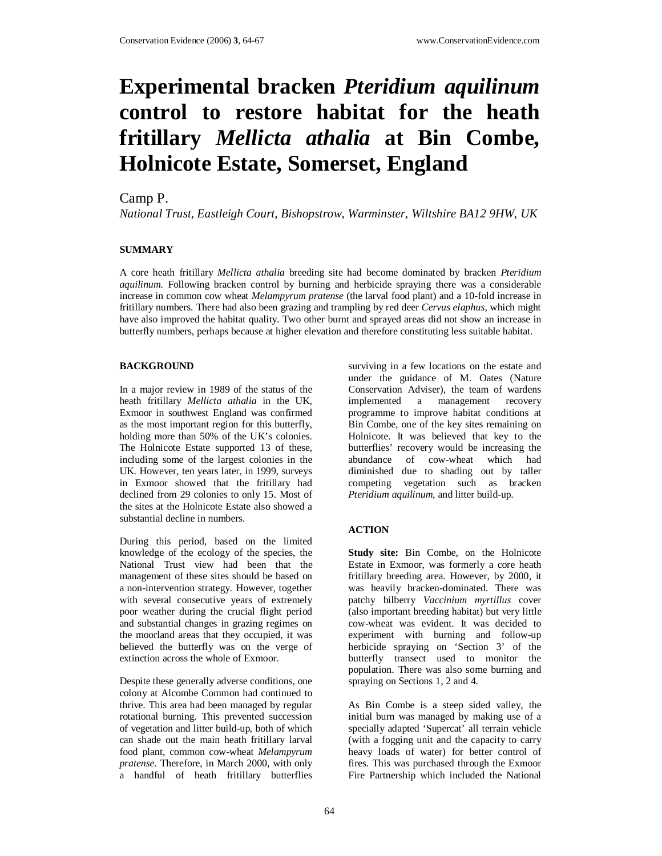# **Experimental bracken** *Pteridium aquilinum* **control to restore habitat for the heath fritillary** *Mellicta athalia* **at Bin Combe, Holnicote Estate, Somerset, England**

### Camp P.

*National Trust, Eastleigh Court, Bishopstrow, Warminster, Wiltshire BA12 9HW, UK* 

#### **SUMMARY**

A core heath fritillary *Mellicta athalia* breeding site had become dominated by bracken *Pteridium aquilinum*. Following bracken control by burning and herbicide spraying there was a considerable increase in common cow wheat *Melampyrum pratense* (the larval food plant) and a 10-fold increase in fritillary numbers. There had also been grazing and trampling by red deer *Cervus elaphus*, which might have also improved the habitat quality. Two other burnt and sprayed areas did not show an increase in butterfly numbers, perhaps because at higher elevation and therefore constituting less suitable habitat.

#### **BACKGROUND**

In a major review in 1989 of the status of the heath fritillary *Mellicta athalia* in the UK, Exmoor in southwest England was confirmed as the most important region for this butterfly, holding more than 50% of the UK's colonies. The Holnicote Estate supported 13 of these, including some of the largest colonies in the UK. However, ten years later, in 1999, surveys in Exmoor showed that the fritillary had declined from 29 colonies to only 15. Most of the sites at the Holnicote Estate also showed a substantial decline in numbers.

During this period, based on the limited knowledge of the ecology of the species, the National Trust view had been that the management of these sites should be based on a non-intervention strategy. However, together with several consecutive years of extremely poor weather during the crucial flight period and substantial changes in grazing regimes on the moorland areas that they occupied, it was believed the butterfly was on the verge of extinction across the whole of Exmoor.

Despite these generally adverse conditions, one colony at Alcombe Common had continued to thrive. This area had been managed by regular rotational burning. This prevented succession of vegetation and litter build-up, both of which can shade out the main heath fritillary larval food plant, common cow-wheat *Melampyrum pratense*. Therefore, in March 2000, with only a handful of heath fritillary butterflies

surviving in a few locations on the estate and under the guidance of M. Oates (Nature Conservation Adviser), the team of wardens implemented a management recovery programme to improve habitat conditions at Bin Combe, one of the key sites remaining on Holnicote. It was believed that key to the butterflies' recovery would be increasing the abundance of cow-wheat which had diminished due to shading out by taller competing vegetation such as bracken *Pteridium aquilinum,* and litter build-up.

#### **ACTION**

**Study site:** Bin Combe, on the Holnicote Estate in Exmoor, was formerly a core heath fritillary breeding area. However, by 2000, it was heavily bracken-dominated. There was patchy bilberry *Vaccinium myrtillus* cover (also important breeding habitat) but very little cow-wheat was evident. It was decided to experiment with burning and follow-up herbicide spraying on 'Section 3' of the butterfly transect used to monitor the population. There was also some burning and spraying on Sections 1, 2 and 4.

As Bin Combe is a steep sided valley, the initial burn was managed by making use of a specially adapted 'Supercat' all terrain vehicle (with a fogging unit and the capacity to carry heavy loads of water) for better control of fires. This was purchased through the Exmoor Fire Partnership which included the National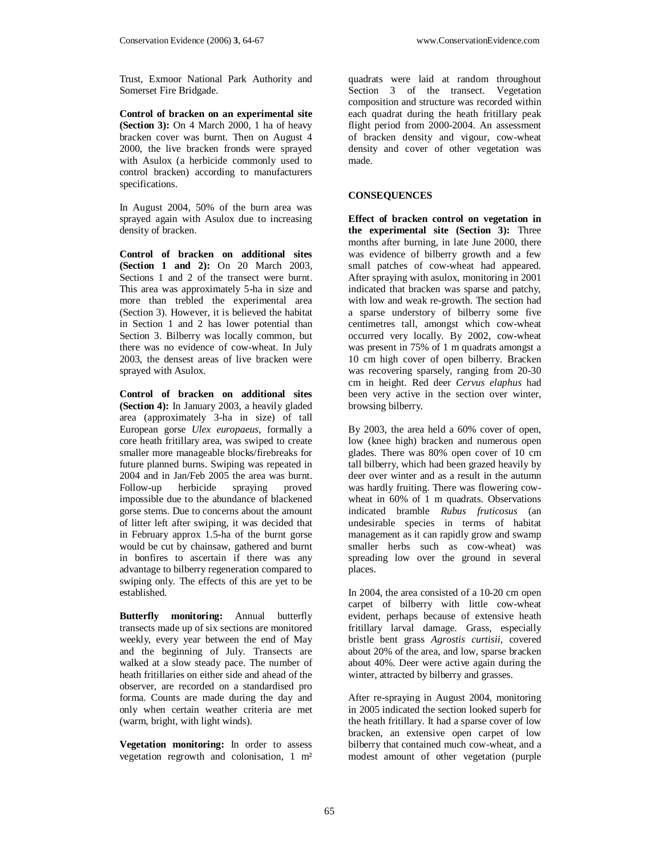Trust, Exmoor National Park Authority and Somerset Fire Bridgade.

**Control of bracken on an experimental site (Section 3):** On 4 March 2000, 1 ha of heavy bracken cover was burnt. Then on August 4 2000, the live bracken fronds were sprayed with Asulox (a herbicide commonly used to control bracken) according to manufacturers specifications.

In August 2004, 50% of the burn area was sprayed again with Asulox due to increasing density of bracken.

**Control of bracken on additional sites (Section 1 and 2):** On 20 March 2003, Sections 1 and 2 of the transect were burnt. This area was approximately 5-ha in size and more than trebled the experimental area (Section 3). However, it is believed the habitat in Section 1 and 2 has lower potential than Section 3. Bilberry was locally common, but there was no evidence of cow-wheat. In July 2003, the densest areas of live bracken were sprayed with Asulox.

**Control of bracken on additional sites (Section 4):** In January 2003, a heavily gladed area (approximately 3-ha in size) of tall European gorse *Ulex europaeus*, formally a core heath fritillary area, was swiped to create smaller more manageable blocks/firebreaks for future planned burns. Swiping was repeated in 2004 and in Jan/Feb 2005 the area was burnt. Follow-up herbicide spraying proved impossible due to the abundance of blackened gorse stems. Due to concerns about the amount of litter left after swiping, it was decided that in February approx 1.5-ha of the burnt gorse would be cut by chainsaw, gathered and burnt in bonfires to ascertain if there was any advantage to bilberry regeneration compared to swiping only. The effects of this are yet to be established.

**Butterfly monitoring:** Annual butterfly transects made up of six sections are monitored weekly, every year between the end of May and the beginning of July. Transects are walked at a slow steady pace. The number of heath fritillaries on either side and ahead of the observer, are recorded on a standardised pro forma. Counts are made during the day and only when certain weather criteria are met (warm, bright, with light winds).

**Vegetation monitoring:** In order to assess vegetation regrowth and colonisation, 1 m² quadrats were laid at random throughout Section 3 of the transect. Vegetation composition and structure was recorded within each quadrat during the heath fritillary peak flight period from 2000-2004. An assessment of bracken density and vigour, cow-wheat density and cover of other vegetation was made.

#### **CONSEQUENCES**

**Effect of bracken control on vegetation in the experimental site (Section 3):** Three months after burning, in late June 2000, there was evidence of bilberry growth and a few small patches of cow-wheat had appeared. After spraying with asulox, monitoring in 2001 indicated that bracken was sparse and patchy, with low and weak re-growth. The section had a sparse understory of bilberry some five centimetres tall, amongst which cow-wheat occurred very locally. By 2002, cow-wheat was present in 75% of 1 m quadrats amongst a 10 cm high cover of open bilberry. Bracken was recovering sparsely, ranging from 20-30 cm in height. Red deer *Cervus elaphus* had been very active in the section over winter, browsing bilberry.

By 2003, the area held a 60% cover of open, low (knee high) bracken and numerous open glades. There was 80% open cover of 10 cm tall bilberry, which had been grazed heavily by deer over winter and as a result in the autumn was hardly fruiting. There was flowering cowwheat in 60% of 1 m quadrats. Observations indicated bramble *Rubus fruticosus* (an undesirable species in terms of habitat management as it can rapidly grow and swamp smaller herbs such as cow-wheat) was spreading low over the ground in several places.

In 2004, the area consisted of a 10-20 cm open carpet of bilberry with little cow-wheat evident, perhaps because of extensive heath fritillary larval damage. Grass, especially bristle bent grass *Agrostis curtisii*, covered about 20% of the area, and low, sparse bracken about 40%. Deer were active again during the winter, attracted by bilberry and grasses.

After re-spraying in August 2004, monitoring in 2005 indicated the section looked superb for the heath fritillary. It had a sparse cover of low bracken, an extensive open carpet of low bilberry that contained much cow-wheat, and a modest amount of other vegetation (purple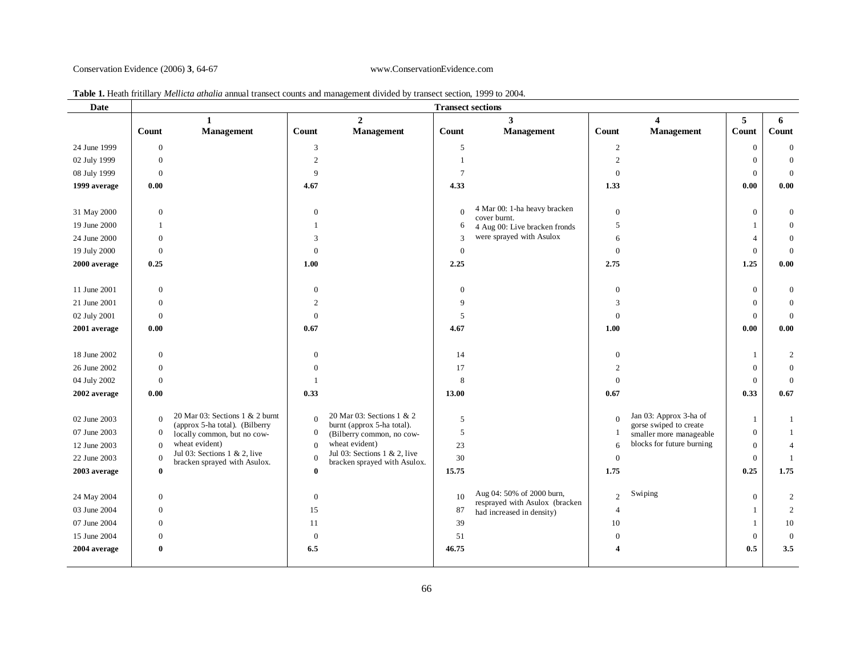#### Conservation Evidence (2006) **3**, 64-67 www.ConservationEvidence.com

| Date                         | <b>Transect sections</b> |                                               |                      |                                             |                |                                              |                  |                                                      |                              |                    |
|------------------------------|--------------------------|-----------------------------------------------|----------------------|---------------------------------------------|----------------|----------------------------------------------|------------------|------------------------------------------------------|------------------------------|--------------------|
|                              |                          | $\mathbf{1}$                                  |                      | $\overline{2}$                              |                | 3                                            |                  | $\overline{\mathbf{4}}$                              | 5                            | 6                  |
|                              | <b>Count</b>             | Management                                    | Count                | <b>Management</b>                           | Count          | Management                                   | Count            | Management                                           | Count                        | Count              |
| 24 June 1999                 | $\mathbf{0}$             |                                               | 3                    |                                             | 5              |                                              | $\overline{2}$   |                                                      | $\mathbf{0}$                 | $\overline{0}$     |
| 02 July 1999                 | $\mathbf{0}$             |                                               | $\overline{2}$       |                                             |                |                                              | $\sqrt{2}$       |                                                      | $\overline{0}$               | $\mathbf{0}$       |
| 08 July 1999                 | $\mathbf{0}$             |                                               | 9                    |                                             | 7              |                                              | $\mathbf{0}$     |                                                      | $\mathbf{0}$                 | $\mathbf{0}$       |
| 1999 average                 | 0.00                     |                                               | 4.67                 |                                             | 4.33           |                                              | 1.33             |                                                      | 0.00                         | 0.00               |
|                              |                          |                                               |                      |                                             |                |                                              |                  |                                                      |                              |                    |
| 31 May 2000                  | $\mathbf{0}$             |                                               | $\mathbf{0}$         |                                             | $\overline{0}$ | 4 Mar 00: 1-ha heavy bracken<br>cover burnt. | $\boldsymbol{0}$ |                                                      | $\overline{0}$               | $\mathbf{0}$       |
| 19 June 2000                 | -1                       |                                               | -1                   |                                             | 6              | 4 Aug 00: Live bracken fronds                | 5                |                                                      | $\mathbf{1}$                 | $\overline{0}$     |
| 24 June 2000                 | $\mathbf{0}$             |                                               | 3                    |                                             | 3              | were sprayed with Asulox                     | 6                |                                                      | $\overline{4}$               | $\mathbf{0}$       |
| 19 July 2000                 | $\Omega$                 |                                               | $\Omega$             |                                             | $\mathbf{0}$   |                                              | $\boldsymbol{0}$ |                                                      | $\mathbf{0}$                 | $\overline{0}$     |
| 2000 average                 | 0.25                     |                                               | 1.00                 |                                             | 2.25           |                                              | 2.75             |                                                      | 1.25                         | 0.00               |
|                              |                          |                                               |                      |                                             |                |                                              |                  |                                                      |                              |                    |
| 11 June 2001                 | $\mathbf{0}$             |                                               | $\theta$             |                                             | $\mathbf{0}$   |                                              | $\boldsymbol{0}$ |                                                      | $\mathbf{0}$                 | $\boldsymbol{0}$   |
| 21 June 2001                 | $\mathbf{0}$             |                                               | $\overline{2}$       |                                             | 9              |                                              | 3                |                                                      | $\overline{0}$               | $\overline{0}$     |
| 02 July 2001                 | $\mathbf{0}$             |                                               | $\overline{0}$       |                                             | 5              |                                              | $\mathbf{0}$     |                                                      | $\boldsymbol{0}$             | $\overline{0}$     |
| 2001 average                 | 0.00                     |                                               | 0.67                 |                                             | 4.67           |                                              | 1.00             |                                                      | 0.00                         | 0.00               |
|                              |                          |                                               |                      |                                             |                |                                              |                  |                                                      |                              |                    |
| 18 June 2002                 | $\mathbf{0}$             |                                               | $\Omega$             |                                             | 14             |                                              | $\theta$         |                                                      | $\mathbf{1}$                 | 2                  |
| 26 June 2002                 | $\mathbf{0}$             |                                               | $\Omega$             |                                             | 17             |                                              |                  |                                                      | $\mathbf{0}$                 | $\mathbf{0}$       |
| 04 July 2002                 | $\Omega$                 |                                               | -1                   |                                             | 8              |                                              | $\mathbf{0}$     |                                                      | $\overline{0}$               | $\overline{0}$     |
| 2002 average                 | 0.00                     |                                               | 0.33                 |                                             | 13.00          |                                              | 0.67             |                                                      | 0.33                         | 0.67               |
|                              |                          | 20 Mar 03: Sections 1 & 2 burnt               |                      | 20 Mar 03: Sections 1 & 2                   |                |                                              |                  | Jan 03: Approx 3-ha of                               |                              |                    |
| 02 June 2003                 | $\Omega$                 | (approx 5-ha total). (Bilberry                | $\theta$             | burnt (approx 5-ha total).                  | 5              |                                              | $\Omega$         | gorse swiped to create                               | 1                            | 1                  |
| 07 June 2003                 | $\Omega$                 | locally common, but no cow-<br>wheat evident) | $\boldsymbol{0}$     | (Bilberry common, no cow-<br>wheat evident) | 5              |                                              | -1               | smaller more manageable<br>blocks for future burning | $\mathbf{0}$                 | $\mathbf{1}$       |
| 12 June 2003                 | $\Omega$                 | Jul 03: Sections $1 \& 2$ , live              | $\theta$<br>$\Omega$ | Jul 03: Sections $1 \& 2$ , live            | 23             |                                              | 6                |                                                      | $\mathbf{0}$                 | $\overline{4}$     |
| 22 June 2003                 | $\Omega$<br>$\Omega$     | bracken sprayed with Asulox.                  |                      | bracken sprayed with Asulox.                | 30             |                                              | $\mathbf{0}$     |                                                      | $\mathbf{0}$                 | $\mathbf{1}$       |
| 2003 average                 |                          |                                               | $\mathbf{0}$         |                                             | 15.75          |                                              | 1.75             |                                                      | 0.25                         | 1.75               |
|                              | $\boldsymbol{0}$         |                                               | $\mathbf{0}$         |                                             | 10             | Aug 04: 50% of 2000 burn,                    | $\overline{c}$   | Swiping                                              | $\overline{0}$               |                    |
| 24 May 2004                  |                          |                                               | 15                   |                                             |                | resprayed with Asulox (bracken               |                  |                                                      |                              | $\overline{c}$     |
| 03 June 2004                 | $\mathbf{0}$             |                                               |                      |                                             | 87             | had increased in density)                    | $\overline{4}$   |                                                      | -1                           | $\overline{c}$     |
| 07 June 2004<br>15 June 2004 | $\Omega$<br>$\Omega$     |                                               | 11<br>$\mathbf{0}$   |                                             | 39<br>51       |                                              | 10<br>$\Omega$   |                                                      | $\mathbf{1}$<br>$\mathbf{0}$ | 10<br>$\mathbf{0}$ |
|                              |                          |                                               |                      |                                             |                |                                              |                  |                                                      | 0.5                          |                    |
| 2004 average                 | $\mathbf{0}$             |                                               | 6.5                  |                                             | 46.75          |                                              |                  |                                                      |                              | 3.5                |
|                              |                          |                                               |                      |                                             |                |                                              |                  |                                                      |                              |                    |

## **Table 1.** Heath fritillary *Mellicta athalia* annual transect counts and management divided by transect section, 1999 to 2004. **Date Transect sections**